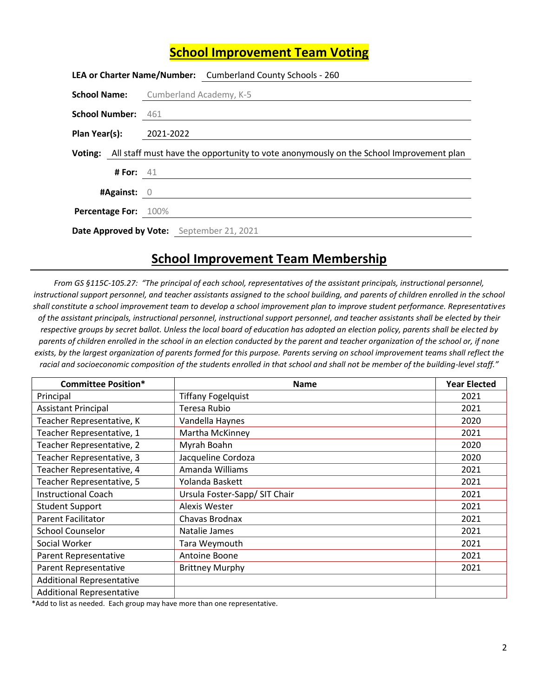## **School Improvement Team Voting**

|                                           |             | LEA or Charter Name/Number: Cumberland County Schools - 260                                    |
|-------------------------------------------|-------------|------------------------------------------------------------------------------------------------|
|                                           |             | <b>School Name:</b> Cumberland Academy, K-5                                                    |
|                                           |             | <b>School Number:</b> 461 ____________                                                         |
| Plan Year(s): 2021-2022                   |             |                                                                                                |
|                                           |             | Voting: All staff must have the opportunity to vote anonymously on the School Improvement plan |
|                                           | # For: $41$ |                                                                                                |
| #Against: 0                               |             |                                                                                                |
| <b>Percentage For: 100%</b>               |             |                                                                                                |
| Date Approved by Vote: September 21, 2021 |             |                                                                                                |

## **School Improvement Team Membership**

*From GS §115C-105.27: "The principal of each school, representatives of the assistant principals, instructional personnel, instructional support personnel, and teacher assistants assigned to the school building, and parents of children enrolled in the school shall constitute a school improvement team to develop a school improvement plan to improve student performance. Representatives of the assistant principals, instructional personnel, instructional support personnel, and teacher assistants shall be elected by their respective groups by secret ballot. Unless the local board of education has adopted an election policy, parents shall be elected by parents of children enrolled in the school in an election conducted by the parent and teacher organization of the school or, if none exists, by the largest organization of parents formed for this purpose. Parents serving on school improvement teams shall reflect the racial and socioeconomic composition of the students enrolled in that school and shall not be member of the building-level staff."*

| <b>Committee Position*</b>       | <b>Name</b>                   | <b>Year Elected</b> |
|----------------------------------|-------------------------------|---------------------|
| Principal                        | <b>Tiffany Fogelquist</b>     | 2021                |
| <b>Assistant Principal</b>       | Teresa Rubio                  | 2021                |
| Teacher Representative, K        | Vandella Haynes               | 2020                |
| Teacher Representative, 1        | Martha McKinney               | 2021                |
| Teacher Representative, 2        | Myrah Boahn                   | 2020                |
| Teacher Representative, 3        | Jacqueline Cordoza            | 2020                |
| Teacher Representative, 4        | Amanda Williams               | 2021                |
| Teacher Representative, 5        | Yolanda Baskett               | 2021                |
| <b>Instructional Coach</b>       | Ursula Foster-Sapp/ SIT Chair | 2021                |
| <b>Student Support</b>           | <b>Alexis Wester</b>          | 2021                |
| <b>Parent Facilitator</b>        | Chavas Brodnax                | 2021                |
| <b>School Counselor</b>          | Natalie James                 | 2021                |
| Social Worker                    | Tara Weymouth                 | 2021                |
| <b>Parent Representative</b>     | Antoine Boone                 | 2021                |
| Parent Representative            | <b>Brittney Murphy</b>        | 2021                |
| <b>Additional Representative</b> |                               |                     |
| <b>Additional Representative</b> |                               |                     |

\*Add to list as needed. Each group may have more than one representative.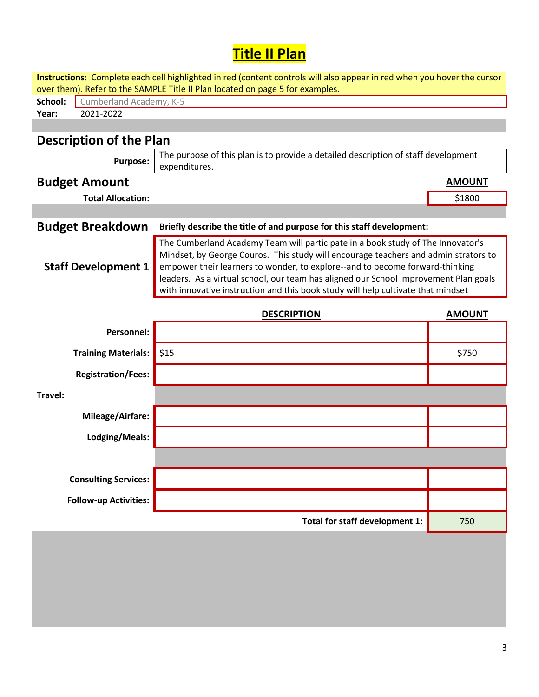## **Title II Plan**

|         |                                                                               | Instructions: Complete each cell highlighted in red (content controls will also appear in red when you hover the cursor                                                                                                                                                                                                                                                                                                            |               |  |  |  |  |
|---------|-------------------------------------------------------------------------------|------------------------------------------------------------------------------------------------------------------------------------------------------------------------------------------------------------------------------------------------------------------------------------------------------------------------------------------------------------------------------------------------------------------------------------|---------------|--|--|--|--|
|         | over them). Refer to the SAMPLE Title II Plan located on page 5 for examples. |                                                                                                                                                                                                                                                                                                                                                                                                                                    |               |  |  |  |  |
| School: | Cumberland Academy, K-5                                                       |                                                                                                                                                                                                                                                                                                                                                                                                                                    |               |  |  |  |  |
| Year:   | 2021-2022                                                                     |                                                                                                                                                                                                                                                                                                                                                                                                                                    |               |  |  |  |  |
|         |                                                                               |                                                                                                                                                                                                                                                                                                                                                                                                                                    |               |  |  |  |  |
|         | <b>Description of the Plan</b>                                                |                                                                                                                                                                                                                                                                                                                                                                                                                                    |               |  |  |  |  |
|         | <b>Purpose:</b>                                                               | The purpose of this plan is to provide a detailed description of staff development<br>expenditures.                                                                                                                                                                                                                                                                                                                                |               |  |  |  |  |
|         | <b>Budget Amount</b>                                                          |                                                                                                                                                                                                                                                                                                                                                                                                                                    | <b>AMOUNT</b> |  |  |  |  |
|         | <b>Total Allocation:</b>                                                      |                                                                                                                                                                                                                                                                                                                                                                                                                                    | \$1800        |  |  |  |  |
|         |                                                                               |                                                                                                                                                                                                                                                                                                                                                                                                                                    |               |  |  |  |  |
|         | <b>Budget Breakdown</b>                                                       | Briefly describe the title of and purpose for this staff development:                                                                                                                                                                                                                                                                                                                                                              |               |  |  |  |  |
|         | <b>Staff Development 1</b>                                                    | The Cumberland Academy Team will participate in a book study of The Innovator's<br>Mindset, by George Couros. This study will encourage teachers and administrators to<br>empower their learners to wonder, to explore--and to become forward-thinking<br>leaders. As a virtual school, our team has aligned our School Improvement Plan goals<br>with innovative instruction and this book study will help cultivate that mindset |               |  |  |  |  |
|         |                                                                               | <b>DESCRIPTION</b>                                                                                                                                                                                                                                                                                                                                                                                                                 | <b>AMOUNT</b> |  |  |  |  |
|         | Personnel:                                                                    |                                                                                                                                                                                                                                                                                                                                                                                                                                    |               |  |  |  |  |
|         | <b>Training Materials:</b>                                                    | \$15                                                                                                                                                                                                                                                                                                                                                                                                                               | \$750         |  |  |  |  |
|         | <b>Registration/Fees:</b>                                                     |                                                                                                                                                                                                                                                                                                                                                                                                                                    |               |  |  |  |  |
| Travel: |                                                                               |                                                                                                                                                                                                                                                                                                                                                                                                                                    |               |  |  |  |  |
|         | <b>Mileage/Airfare:</b>                                                       |                                                                                                                                                                                                                                                                                                                                                                                                                                    |               |  |  |  |  |
|         | Lodging/Meals:                                                                |                                                                                                                                                                                                                                                                                                                                                                                                                                    |               |  |  |  |  |
|         |                                                                               |                                                                                                                                                                                                                                                                                                                                                                                                                                    |               |  |  |  |  |
|         | <b>Consulting Services:</b>                                                   |                                                                                                                                                                                                                                                                                                                                                                                                                                    |               |  |  |  |  |
|         | <b>Follow-up Activities:</b>                                                  |                                                                                                                                                                                                                                                                                                                                                                                                                                    |               |  |  |  |  |
|         |                                                                               | Total for staff development 1:                                                                                                                                                                                                                                                                                                                                                                                                     | 750           |  |  |  |  |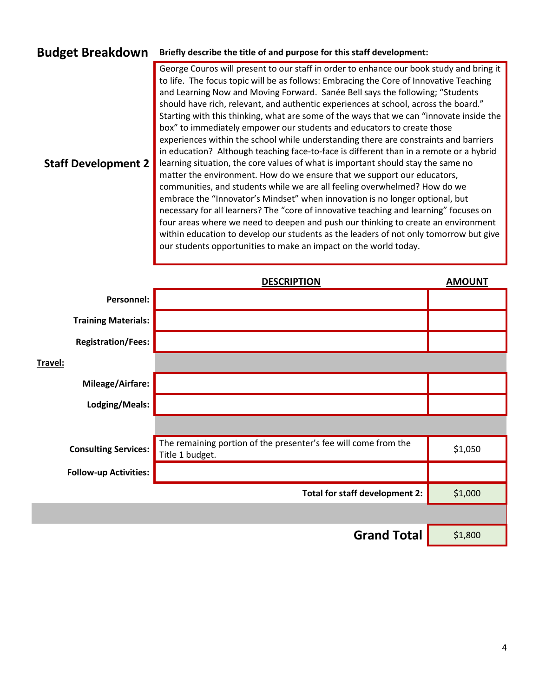## **Budget Breakdown Briefly describe the title of and purpose for this staff development:**

**Staff Development 2** George Couros will present to our staff in order to enhance our book study and bring it to life. The focus topic will be as follows: Embracing the Core of Innovative Teaching and Learning Now and Moving Forward. Sanée Bell says the following; "Students should have rich, relevant, and authentic experiences at school, across the board." Starting with this thinking, what are some of the ways that we can "innovate inside the box" to immediately empower our students and educators to create those experiences within the school while understanding there are constraints and barriers in education? Although teaching face-to-face is different than in a remote or a hybrid learning situation, the core values of what is important should stay the same no matter the environment. How do we ensure that we support our educators, communities, and students while we are all feeling overwhelmed? How do we embrace the "Innovator's Mindset" when innovation is no longer optional, but necessary for all learners? The "core of innovative teaching and learning" focuses on four areas where we need to deepen and push our thinking to create an environment within education to develop our students as the leaders of not only tomorrow but give our students opportunities to make an impact on the world today.

|                              | <b>DESCRIPTION</b>                                                                 | <b>AMOUNT</b> |
|------------------------------|------------------------------------------------------------------------------------|---------------|
| Personnel:                   |                                                                                    |               |
| <b>Training Materials:</b>   |                                                                                    |               |
| <b>Registration/Fees:</b>    |                                                                                    |               |
| Travel:                      |                                                                                    |               |
| Mileage/Airfare:             |                                                                                    |               |
| Lodging/Meals:               |                                                                                    |               |
|                              |                                                                                    |               |
| <b>Consulting Services:</b>  | The remaining portion of the presenter's fee will come from the<br>Title 1 budget. | \$1,050       |
| <b>Follow-up Activities:</b> |                                                                                    |               |
|                              | Total for staff development 2:                                                     | \$1,000       |
|                              |                                                                                    |               |
|                              | <b>Grand Total</b>                                                                 | \$1,800       |